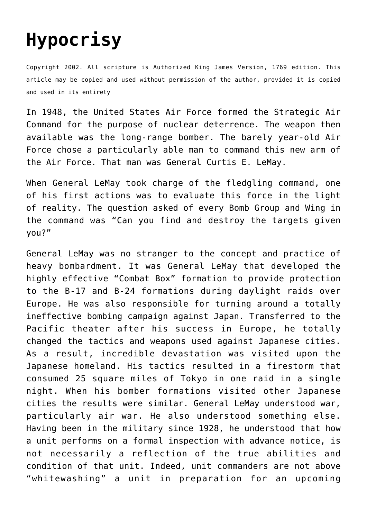## **[Hypocrisy](http://reproachofmen.org/spiritualwar/hypocrisy/)**

Copyright 2002. All scripture is Authorized King James Version, 1769 edition. This article may be copied and used without permission of the author, provided it is copied and used in its entirety

In 1948, the United States Air Force formed the Strategic Air Command for the purpose of nuclear deterrence. The weapon then available was the long-range bomber. The barely year-old Air Force chose a particularly able man to command this new arm of the Air Force. That man was General Curtis E. LeMay.

When General LeMay took charge of the fledgling command, one of his first actions was to evaluate this force in the light of reality. The question asked of every Bomb Group and Wing in the command was "Can you find and destroy the targets given you?"

General LeMay was no stranger to the concept and practice of heavy bombardment. It was General LeMay that developed the highly effective "Combat Box" formation to provide protection to the B-17 and B-24 formations during daylight raids over Europe. He was also responsible for turning around a totally ineffective bombing campaign against Japan. Transferred to the Pacific theater after his success in Europe, he totally changed the tactics and weapons used against Japanese cities. As a result, incredible devastation was visited upon the Japanese homeland. His tactics resulted in a firestorm that consumed 25 square miles of Tokyo in one raid in a single night. When his bomber formations visited other Japanese cities the results were similar. General LeMay understood war, particularly air war. He also understood something else. Having been in the military since 1928, he understood that how a unit performs on a formal inspection with advance notice, is not necessarily a reflection of the true abilities and condition of that unit. Indeed, unit commanders are not above "whitewashing" a unit in preparation for an upcoming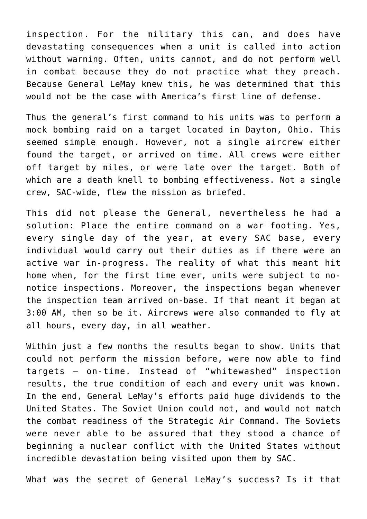inspection. For the military this can, and does have devastating consequences when a unit is called into action without warning. Often, units cannot, and do not perform well in combat because they do not practice what they preach. Because General LeMay knew this, he was determined that this would not be the case with America's first line of defense.

Thus the general's first command to his units was to perform a mock bombing raid on a target located in Dayton, Ohio. This seemed simple enough. However, not a single aircrew either found the target, or arrived on time. All crews were either off target by miles, or were late over the target. Both of which are a death knell to bombing effectiveness. Not a single crew, SAC-wide, flew the mission as briefed.

This did not please the General, nevertheless he had a solution: Place the entire command on a war footing. Yes, every single day of the year, at every SAC base, every individual would carry out their duties as if there were an active war in-progress. The reality of what this meant hit home when, for the first time ever, units were subject to nonotice inspections. Moreover, the inspections began whenever the inspection team arrived on-base. If that meant it began at 3:00 AM, then so be it. Aircrews were also commanded to fly at all hours, every day, in all weather.

Within just a few months the results began to show. Units that could not perform the mission before, were now able to find targets — on-time. Instead of "whitewashed" inspection results, the true condition of each and every unit was known. In the end, General LeMay's efforts paid huge dividends to the United States. The Soviet Union could not, and would not match the combat readiness of the Strategic Air Command. The Soviets were never able to be assured that they stood a chance of beginning a nuclear conflict with the United States without incredible devastation being visited upon them by SAC.

What was the secret of General LeMay's success? Is it that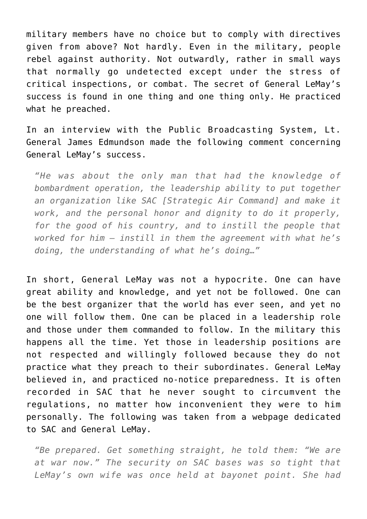military members have no choice but to comply with directives given from above? Not hardly. Even in the military, people rebel against authority. Not outwardly, rather in small ways that normally go undetected except under the stress of critical inspections, or combat. The secret of General LeMay's success is found in one thing and one thing only. He practiced what he preached.

In an interview with the Public Broadcasting System, Lt. General James Edmundson made the following comment concerning General LeMay's success.

*"He was about the only man that had the knowledge of bombardment operation, the leadership ability to put together an organization like SAC [Strategic Air Command] and make it work, and the personal honor and dignity to do it properly, for the good of his country, and to instill the people that worked for him — instill in them the agreement with what he's doing, the understanding of what he's doing…"*

In short, General LeMay was not a hypocrite. One can have great ability and knowledge, and yet not be followed. One can be the best organizer that the world has ever seen, and yet no one will follow them. One can be placed in a leadership role and those under them commanded to follow. In the military this happens all the time. Yet those in leadership positions are not respected and willingly followed because they do not practice what they preach to their subordinates. General LeMay believed in, and practiced no-notice preparedness. It is often recorded in SAC that he never sought to circumvent the regulations, no matter how inconvenient they were to him personally. The following was taken from a webpage dedicated to SAC and General LeMay.

*"Be prepared. Get something straight, he told them: "We are at war now." The security on SAC bases was so tight that LeMay's own wife was once held at bayonet point. She had*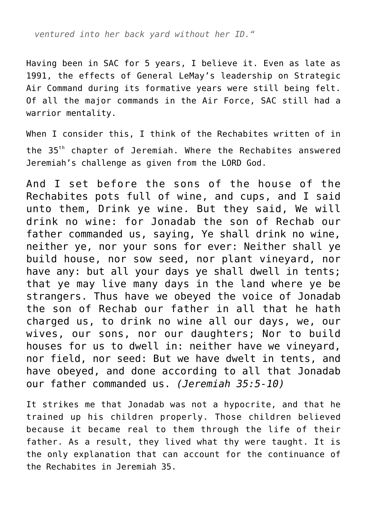*ventured into her back yard without her ID."*

Having been in SAC for 5 years, I believe it. Even as late as 1991, the effects of General LeMay's leadership on Strategic Air Command during its formative years were still being felt. Of all the major commands in the Air Force, SAC still had a warrior mentality.

When I consider this, I think of the Rechabites written of in the 35<sup>th</sup> chapter of Jeremiah. Where the Rechabites answered Jeremiah's challenge as given from the LORD God.

And I set before the sons of the house of the Rechabites pots full of wine, and cups, and I said unto them, Drink ye wine. But they said, We will drink no wine: for Jonadab the son of Rechab our father commanded us, saying, Ye shall drink no wine, neither ye, nor your sons for ever: Neither shall ye build house, nor sow seed, nor plant vineyard, nor have any: but all your days ye shall dwell in tents; that ye may live many days in the land where ye be strangers. Thus have we obeyed the voice of Jonadab the son of Rechab our father in all that he hath charged us, to drink no wine all our days, we, our wives, our sons, nor our daughters; Nor to build houses for us to dwell in: neither have we vineyard, nor field, nor seed: But we have dwelt in tents, and have obeyed, and done according to all that Jonadab our father commanded us. *(Jeremiah 35:5-10)*

It strikes me that Jonadab was not a hypocrite, and that he trained up his children properly. Those children believed because it became real to them through the life of their father. As a result, they lived what thy were taught. It is the only explanation that can account for the continuance of the Rechabites in Jeremiah 35.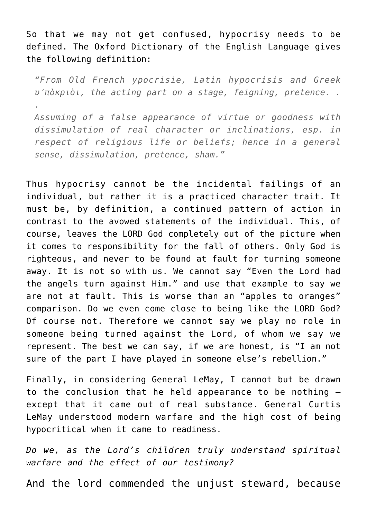So that we may not get confused, hypocrisy needs to be defined. The Oxford Dictionary of the English Language gives the following definition:

*"From Old French ypocrisie, Latin hypocrisis and Greek υ′πòκριòι, the acting part on a stage, feigning, pretence. . .*

*Assuming of a false appearance of virtue or goodness with dissimulation of real character or inclinations, esp. in respect of religious life or beliefs; hence in a general sense, dissimulation, pretence, sham."*

Thus hypocrisy cannot be the incidental failings of an individual, but rather it is a practiced character trait. It must be, by definition, a continued pattern of action in contrast to the avowed statements of the individual. This, of course, leaves the LORD God completely out of the picture when it comes to responsibility for the fall of others. Only God is righteous, and never to be found at fault for turning someone away. It is not so with us. We cannot say "Even the Lord had the angels turn against Him." and use that example to say we are not at fault. This is worse than an "apples to oranges" comparison. Do we even come close to being like the LORD God? Of course not. Therefore we cannot say we play no role in someone being turned against the Lord, of whom we say we represent. The best we can say, if we are honest, is "I am not sure of the part I have played in someone else's rebellion."

Finally, in considering General LeMay, I cannot but be drawn to the conclusion that he held appearance to be nothing except that it came out of real substance. General Curtis LeMay understood modern warfare and the high cost of being hypocritical when it came to readiness.

*Do we, as the Lord's children truly understand spiritual warfare and the effect of our testimony?*

And the lord commended the unjust steward, because